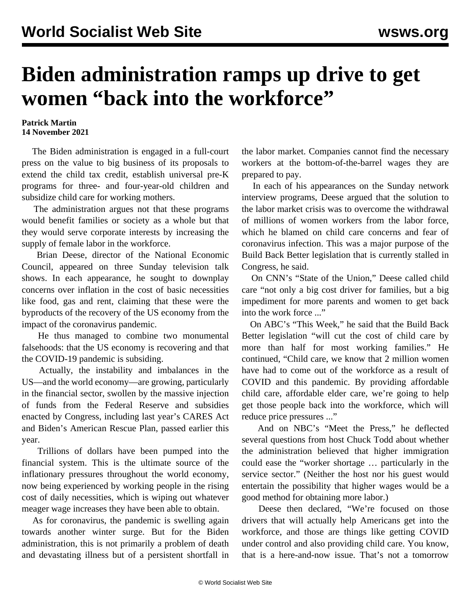## **Biden administration ramps up drive to get women "back into the workforce"**

## **Patrick Martin 14 November 2021**

 The Biden administration is engaged in a full-court press on the value to big business of its proposals to extend the child tax credit, establish universal pre-K programs for three- and four-year-old children and subsidize child care for working mothers.

 The administration argues not that these programs would benefit families or society as a whole but that they would serve corporate interests by increasing the supply of female labor in the workforce.

 Brian Deese, director of the National Economic Council, appeared on three Sunday television talk shows. In each appearance, he sought to downplay concerns over inflation in the cost of basic necessities like food, gas and rent, claiming that these were the byproducts of the recovery of the US economy from the impact of the coronavirus pandemic.

 He thus managed to combine two monumental falsehoods: that the US economy is recovering and that the COVID-19 pandemic is subsiding.

 Actually, the instability and imbalances in the US—and the world economy—are growing, particularly in the financial sector, swollen by the massive injection of funds from the Federal Reserve and subsidies enacted by Congress, including last year's CARES Act and Biden's American Rescue Plan, passed earlier this year.

 Trillions of dollars have been pumped into the financial system. This is the ultimate source of the inflationary pressures throughout the world economy, now being experienced by working people in the rising cost of daily necessities, which is wiping out whatever meager wage increases they have been able to obtain.

 As for coronavirus, the pandemic is swelling again towards another winter surge. But for the Biden administration, this is not primarily a problem of death and devastating illness but of a persistent shortfall in the labor market. Companies cannot find the necessary workers at the bottom-of-the-barrel wages they are prepared to pay.

 In each of his appearances on the Sunday network interview programs, Deese argued that the solution to the labor market crisis was to overcome the withdrawal of millions of women workers from the labor force, which he blamed on child care concerns and fear of coronavirus infection. This was a major purpose of the Build Back Better legislation that is currently stalled in Congress, he said.

 On CNN's "State of the Union," Deese called child care "not only a big cost driver for families, but a big impediment for more parents and women to get back into the work force ..."

 On ABC's "This Week," he said that the Build Back Better legislation "will cut the cost of child care by more than half for most working families." He continued, "Child care, we know that 2 million women have had to come out of the workforce as a result of COVID and this pandemic. By providing affordable child care, affordable elder care, we're going to help get those people back into the workforce, which will reduce price pressures ..."

 And on NBC's "Meet the Press," he deflected several questions from host Chuck Todd about whether the administration believed that higher immigration could ease the "worker shortage … particularly in the service sector." (Neither the host nor his guest would entertain the possibility that higher wages would be a good method for obtaining more labor.)

 Deese then declared, "We're focused on those drivers that will actually help Americans get into the workforce, and those are things like getting COVID under control and also providing child care. You know, that is a here-and-now issue. That's not a tomorrow